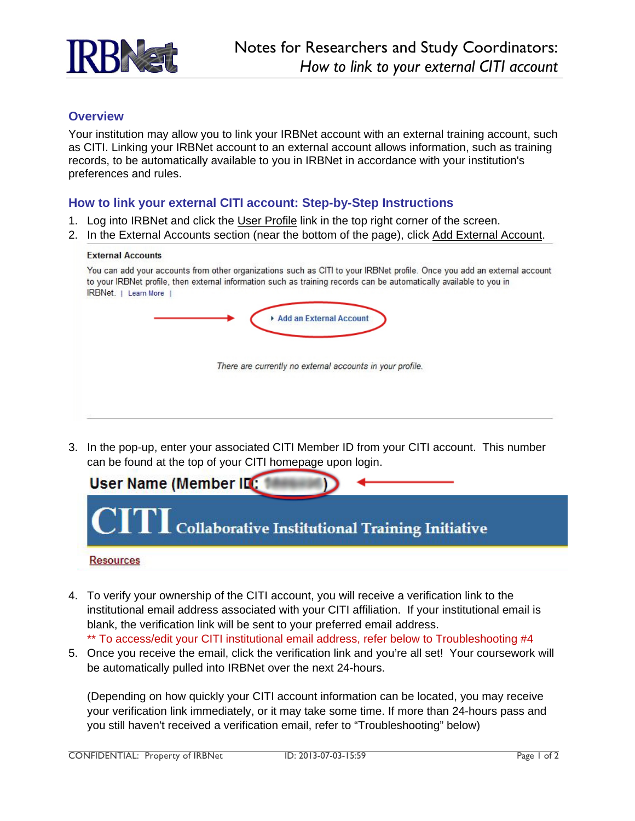

## **Overview**

Your institution may allow you to link your IRBNet account with an external training account, such as CITI. Linking your IRBNet account to an external account allows information, such as training records, to be automatically available to you in IRBNet in accordance with your institution's preferences and rules.

## **How to link your external CITI account: Step-by-Step Instructions**

- 1. Log into IRBNet and click the User Profile link in the top right corner of the screen.
- 2. In the External Accounts section (near the bottom of the page), click Add External Account.

## **External Accounts**

| IRBNet.<br>Learn More |  |                                                           |  |  |
|-----------------------|--|-----------------------------------------------------------|--|--|
|                       |  | Add an External Account                                   |  |  |
|                       |  |                                                           |  |  |
|                       |  | There are currently no external accounts in your profile. |  |  |
|                       |  |                                                           |  |  |
|                       |  |                                                           |  |  |

3. In the pop-up, enter your associated CITI Member ID from your CITI account. This number can be found at the top of your CITI homepage upon login.



- 4. To verify your ownership of the CITI account, you will receive a verification link to the institutional email address associated with your CITI affiliation. If your institutional email is blank, the verification link will be sent to your preferred email address. \*\* To access/edit your CITI institutional email address, refer below to Troubleshooting #4
- 5. Once you receive the email, click the verification link and you're all set! Your coursework will be automatically pulled into IRBNet over the next 24-hours.

(Depending on how quickly your CITI account information can be located, you may receive your verification link immediately, or it may take some time. If more than 24-hours pass and you still haven't received a verification email, refer to "Troubleshooting" below)